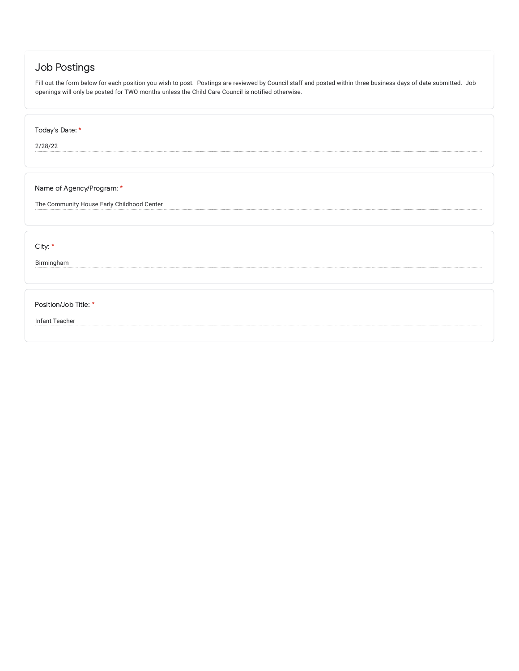# Job Postings

Fill out the form below for each position you wish to post. Postings are reviewed by Council staff and posted within three business days of date submitted. Job openings will only be posted for TWO months unless the Child Care Council is notified otherwise.

Today's Date: \*

2/28/22

Name of Agency/Program: \*

The Community House Early Childhood Center

City: \*

Birmingham

Position/Job Title: \*

Infant Teacher